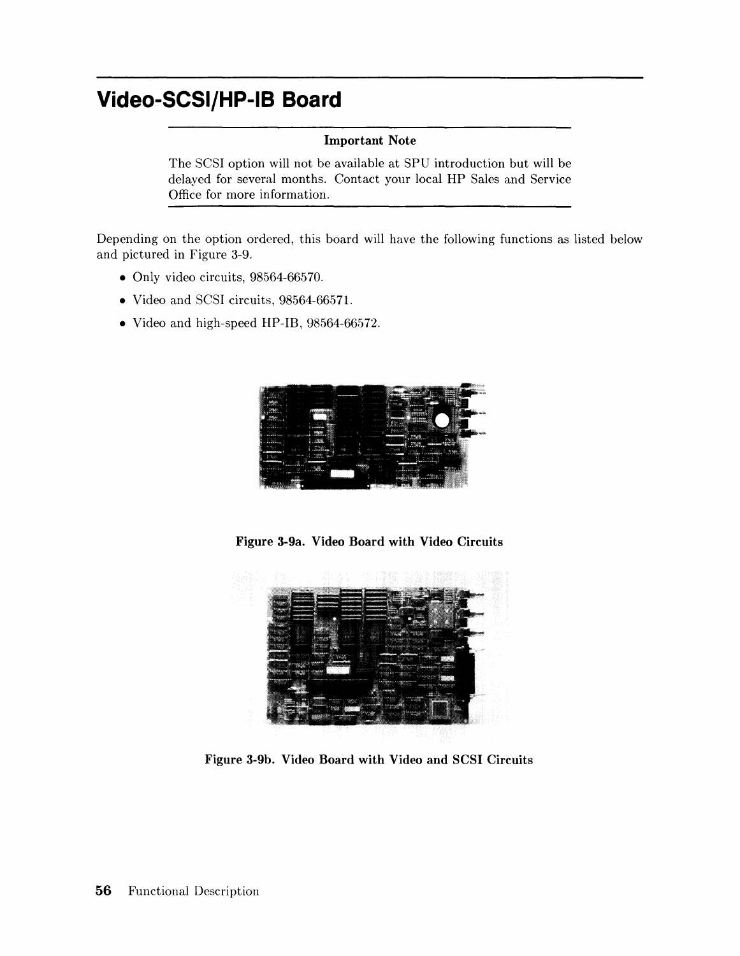# **Video-SCSI/HP-IB Board**

#### **Important Note**

The SCSI option will not be available at SPU introduction but will be delayed for several months. Contact your local **HP** Sales and Service Office for more information.

Depending on the option ordered, this board will have the following functions as listed below and pictured in Figure 3-9.

- Only video circuits, 98564-66570.
- Video and SCSI circuits, 98564-6657l.
- Video and high-speed HP-IB, 98564-66572.



**Figure 3-9a. Video Board with Video Circuits** 



**Figure 3-9b. Video Board with Video and SCSI Circuits**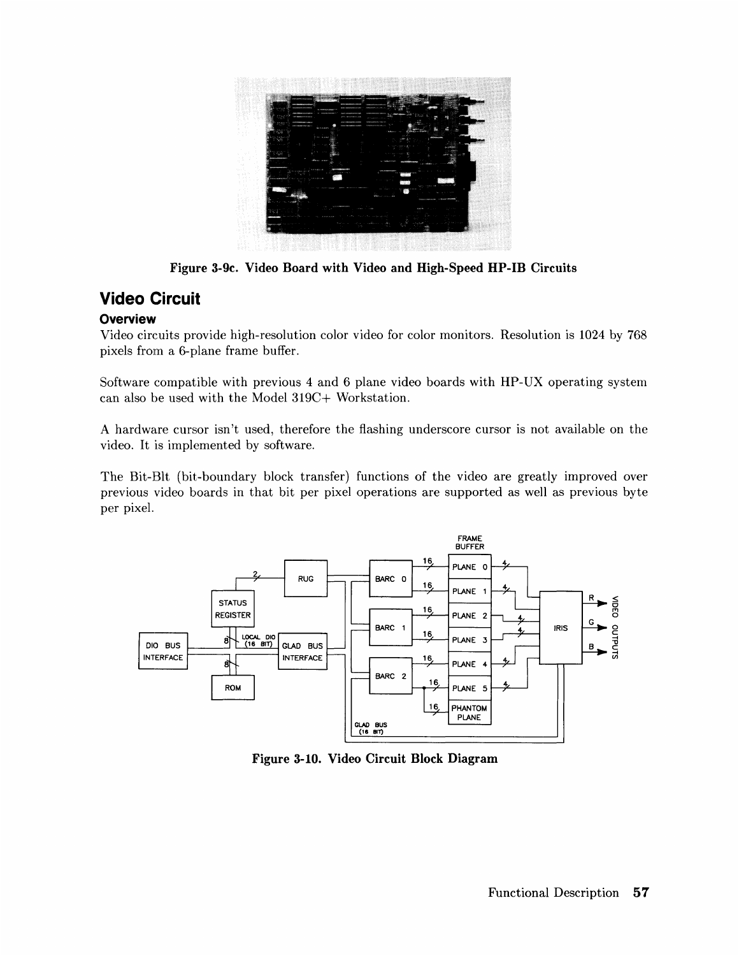

**Figure 3-9c. Video Board with Video and High-Speed HP-IB Circuits** 

## **Video Circuit**

### **Overview**

Video circuits provide high-resolution color video for color monitors. Resolution is 1024 by 768 pixels from a 6-plane frame buffer.

Software compatible with previous 4 and 6 plane video boards with HP-UX operating system can also be used with the Model 319C+ Workstation.

A hardware cursor isn't used, therefore the flashing underscore cursor is not available on the video. It is implemented by software.

The Bit-BIt (bit-boundary block transfer) functions of the video are greatly improved over previous video boards in that bit per pixel operations are supported as well as previous byte per pixel.



**Figure 3-10. Video Circuit Block Diagram**